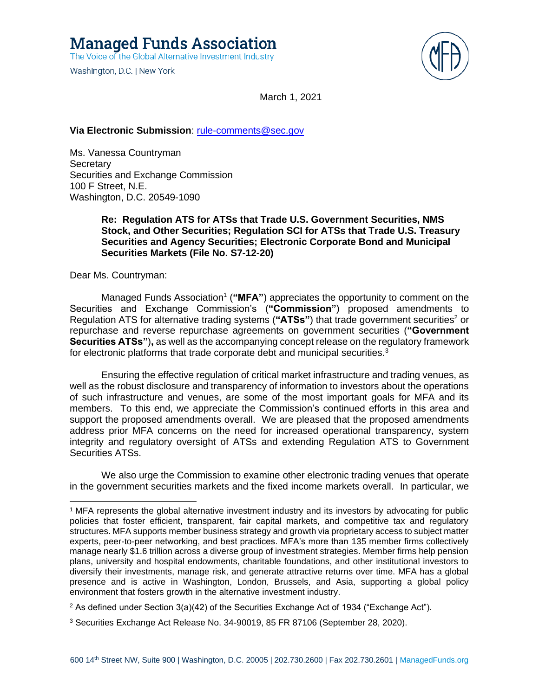

March 1, 2021

### **Via Electronic Submission**: [rule-comments@sec.gov](mailto:rule-comments@sec.gov)

Ms. Vanessa Countryman **Secretary** Securities and Exchange Commission 100 F Street, N.E. Washington, D.C. 20549-1090

# **Re: Regulation ATS for ATSs that Trade U.S. Government Securities, NMS Stock, and Other Securities; Regulation SCI for ATSs that Trade U.S. Treasury Securities and Agency Securities; Electronic Corporate Bond and Municipal Securities Markets (File No. S7-12-20)**

Dear Ms. Countryman:

Managed Funds Association<sup>1</sup> ("MFA") appreciates the opportunity to comment on the Securities and Exchange Commission's (**"Commission"**) proposed amendments to Regulation ATS for alternative trading systems ("ATSs") that trade government securities<sup>2</sup> or repurchase and reverse repurchase agreements on government securities (**"Government Securities ATSs"**)**,** as well as the accompanying concept release on the regulatory framework for electronic platforms that trade corporate debt and municipal securities. $3$ 

Ensuring the effective regulation of critical market infrastructure and trading venues, as well as the robust disclosure and transparency of information to investors about the operations of such infrastructure and venues, are some of the most important goals for MFA and its members. To this end, we appreciate the Commission's continued efforts in this area and support the proposed amendments overall. We are pleased that the proposed amendments address prior MFA concerns on the need for increased operational transparency, system integrity and regulatory oversight of ATSs and extending Regulation ATS to Government Securities ATSs.

We also urge the Commission to examine other electronic trading venues that operate in the government securities markets and the fixed income markets overall. In particular, we

<sup>2</sup> As defined under Section  $3(a)(42)$  of the Securities Exchange Act of 1934 ("Exchange Act").

<sup>1</sup> MFA represents the global alternative investment industry and its investors by advocating for public policies that foster efficient, transparent, fair capital markets, and competitive tax and regulatory structures. MFA supports member business strategy and growth via proprietary access to subject matter experts, peer-to-peer networking, and best practices. MFA's more than 135 member firms collectively manage nearly \$1.6 trillion across a diverse group of investment strategies. Member firms help pension plans, university and hospital endowments, charitable foundations, and other institutional investors to diversify their investments, manage risk, and generate attractive returns over time. MFA has a global presence and is active in Washington, London, Brussels, and Asia, supporting a global policy environment that fosters growth in the alternative investment industry.

<sup>3</sup> Securities Exchange Act Release No. 34-90019, 85 FR 87106 (September 28, 2020).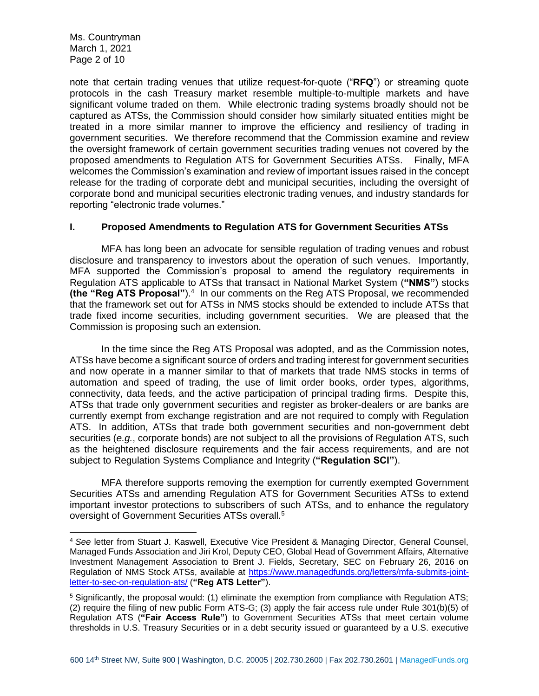Ms. Countryman March 1, 2021 Page 2 of 10

note that certain trading venues that utilize request-for-quote ("**RFQ**") or streaming quote protocols in the cash Treasury market resemble multiple-to-multiple markets and have significant volume traded on them. While electronic trading systems broadly should not be captured as ATSs, the Commission should consider how similarly situated entities might be treated in a more similar manner to improve the efficiency and resiliency of trading in government securities. We therefore recommend that the Commission examine and review the oversight framework of certain government securities trading venues not covered by the proposed amendments to Regulation ATS for Government Securities ATSs. Finally, MFA welcomes the Commission's examination and review of important issues raised in the concept release for the trading of corporate debt and municipal securities, including the oversight of corporate bond and municipal securities electronic trading venues, and industry standards for reporting "electronic trade volumes."

#### **I. Proposed Amendments to Regulation ATS for Government Securities ATSs**

MFA has long been an advocate for sensible regulation of trading venues and robust disclosure and transparency to investors about the operation of such venues. Importantly, MFA supported the Commission's proposal to amend the regulatory requirements in Regulation ATS applicable to ATSs that transact in National Market System (**"NMS"**) stocks (the "Reg ATS Proposal").<sup>4</sup> In our comments on the Reg ATS Proposal, we recommended that the framework set out for ATSs in NMS stocks should be extended to include ATSs that trade fixed income securities, including government securities. We are pleased that the Commission is proposing such an extension.

In the time since the Reg ATS Proposal was adopted, and as the Commission notes, ATSs have become a significant source of orders and trading interest for government securities and now operate in a manner similar to that of markets that trade NMS stocks in terms of automation and speed of trading, the use of limit order books, order types, algorithms. connectivity, data feeds, and the active participation of principal trading firms. Despite this, ATSs that trade only government securities and register as broker-dealers or are banks are currently exempt from exchange registration and are not required to comply with Regulation ATS. In addition, ATSs that trade both government securities and non-government debt securities (*e.g.*, corporate bonds) are not subject to all the provisions of Regulation ATS, such as the heightened disclosure requirements and the fair access requirements, and are not subject to Regulation Systems Compliance and Integrity (**"Regulation SCI"**).

MFA therefore supports removing the exemption for currently exempted Government Securities ATSs and amending Regulation ATS for Government Securities ATSs to extend important investor protections to subscribers of such ATSs, and to enhance the regulatory oversight of Government Securities ATSs overall.<sup>5</sup>

<sup>4</sup> *See* letter from Stuart J. Kaswell, Executive Vice President & Managing Director, General Counsel, Managed Funds Association and Jiri Krol, Deputy CEO, Global Head of Government Affairs, Alternative Investment Management Association to Brent J. Fields, Secretary, SEC on February 26, 2016 on Regulation of NMS Stock ATSs, available at [https://www.managedfunds.org/letters/mfa-submits-joint](https://www.managedfunds.org/letters/mfa-submits-joint-letter-to-sec-on-regulation-ats/)[letter-to-sec-on-regulation-ats/](https://www.managedfunds.org/letters/mfa-submits-joint-letter-to-sec-on-regulation-ats/) (**"Reg ATS Letter"**).

<sup>5</sup> Significantly, the proposal would: (1) eliminate the exemption from compliance with Regulation ATS; (2) require the filing of new public Form ATS-G; (3) apply the fair access rule under Rule 301(b)(5) of Regulation ATS (**"Fair Access Rule"**) to Government Securities ATSs that meet certain volume thresholds in U.S. Treasury Securities or in a debt security issued or guaranteed by a U.S. executive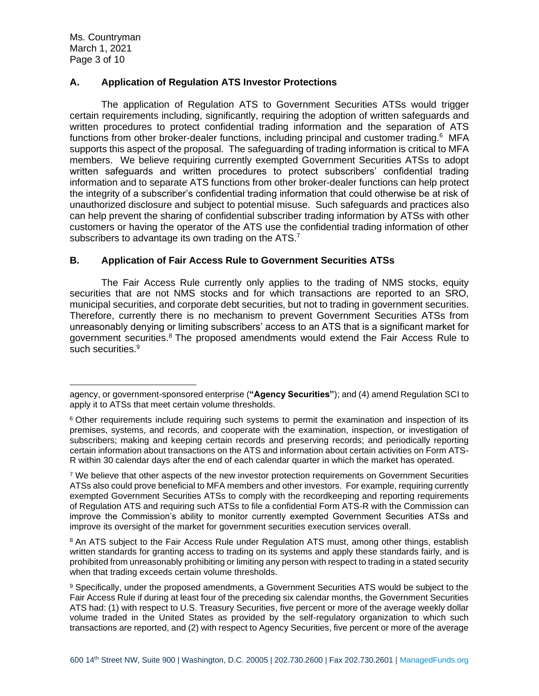Ms. Countryman March 1, 2021 Page 3 of 10

# **A. Application of Regulation ATS Investor Protections**

The application of Regulation ATS to Government Securities ATSs would trigger certain requirements including, significantly, requiring the adoption of written safeguards and written procedures to protect confidential trading information and the separation of ATS functions from other broker-dealer functions, including principal and customer trading.<sup>6</sup> MFA supports this aspect of the proposal. The safeguarding of trading information is critical to MFA members. We believe requiring currently exempted Government Securities ATSs to adopt written safeguards and written procedures to protect subscribers' confidential trading information and to separate ATS functions from other broker-dealer functions can help protect the integrity of a subscriber's confidential trading information that could otherwise be at risk of unauthorized disclosure and subject to potential misuse. Such safeguards and practices also can help prevent the sharing of confidential subscriber trading information by ATSs with other customers or having the operator of the ATS use the confidential trading information of other subscribers to advantage its own trading on the ATS.<sup>7</sup>

# **B. Application of Fair Access Rule to Government Securities ATSs**

The Fair Access Rule currently only applies to the trading of NMS stocks, equity securities that are not NMS stocks and for which transactions are reported to an SRO, municipal securities, and corporate debt securities, but not to trading in government securities. Therefore, currently there is no mechanism to prevent Government Securities ATSs from unreasonably denying or limiting subscribers' access to an ATS that is a significant market for government securities.<sup>8</sup> The proposed amendments would extend the Fair Access Rule to such securities.<sup>9</sup>

agency, or government-sponsored enterprise (**"Agency Securities"**); and (4) amend Regulation SCI to apply it to ATSs that meet certain volume thresholds.

<sup>&</sup>lt;sup>6</sup> Other requirements include requiring such systems to permit the examination and inspection of its premises, systems, and records, and cooperate with the examination, inspection, or investigation of subscribers; making and keeping certain records and preserving records; and periodically reporting certain information about transactions on the ATS and information about certain activities on Form ATS-R within 30 calendar days after the end of each calendar quarter in which the market has operated.

<sup>&</sup>lt;sup>7</sup> We believe that other aspects of the new investor protection requirements on Government Securities ATSs also could prove beneficial to MFA members and other investors. For example, requiring currently exempted Government Securities ATSs to comply with the recordkeeping and reporting requirements of Regulation ATS and requiring such ATSs to file a confidential Form ATS-R with the Commission can improve the Commission's ability to monitor currently exempted Government Securities ATSs and improve its oversight of the market for government securities execution services overall.

<sup>&</sup>lt;sup>8</sup> An ATS subject to the Fair Access Rule under Regulation ATS must, among other things, establish written standards for granting access to trading on its systems and apply these standards fairly, and is prohibited from unreasonably prohibiting or limiting any person with respect to trading in a stated security when that trading exceeds certain volume thresholds.

<sup>9</sup> Specifically, under the proposed amendments, a Government Securities ATS would be subject to the Fair Access Rule if during at least four of the preceding six calendar months, the Government Securities ATS had: (1) with respect to U.S. Treasury Securities, five percent or more of the average weekly dollar volume traded in the United States as provided by the self-regulatory organization to which such transactions are reported, and (2) with respect to Agency Securities, five percent or more of the average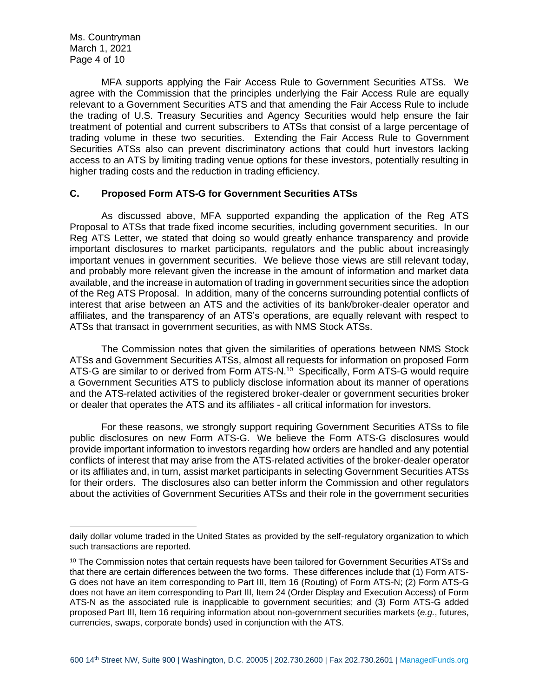Ms. Countryman March 1, 2021 Page 4 of 10

MFA supports applying the Fair Access Rule to Government Securities ATSs. We agree with the Commission that the principles underlying the Fair Access Rule are equally relevant to a Government Securities ATS and that amending the Fair Access Rule to include the trading of U.S. Treasury Securities and Agency Securities would help ensure the fair treatment of potential and current subscribers to ATSs that consist of a large percentage of trading volume in these two securities. Extending the Fair Access Rule to Government Securities ATSs also can prevent discriminatory actions that could hurt investors lacking access to an ATS by limiting trading venue options for these investors, potentially resulting in higher trading costs and the reduction in trading efficiency.

## **C. Proposed Form ATS-G for Government Securities ATSs**

As discussed above, MFA supported expanding the application of the Reg ATS Proposal to ATSs that trade fixed income securities, including government securities. In our Reg ATS Letter, we stated that doing so would greatly enhance transparency and provide important disclosures to market participants, regulators and the public about increasingly important venues in government securities. We believe those views are still relevant today, and probably more relevant given the increase in the amount of information and market data available, and the increase in automation of trading in government securities since the adoption of the Reg ATS Proposal. In addition, many of the concerns surrounding potential conflicts of interest that arise between an ATS and the activities of its bank/broker-dealer operator and affiliates, and the transparency of an ATS's operations, are equally relevant with respect to ATSs that transact in government securities, as with NMS Stock ATSs.

The Commission notes that given the similarities of operations between NMS Stock ATSs and Government Securities ATSs, almost all requests for information on proposed Form ATS-G are similar to or derived from Form ATS-N.<sup>10</sup> Specifically, Form ATS-G would require a Government Securities ATS to publicly disclose information about its manner of operations and the ATS-related activities of the registered broker-dealer or government securities broker or dealer that operates the ATS and its affiliates - all critical information for investors.

For these reasons, we strongly support requiring Government Securities ATSs to file public disclosures on new Form ATS-G. We believe the Form ATS-G disclosures would provide important information to investors regarding how orders are handled and any potential conflicts of interest that may arise from the ATS-related activities of the broker-dealer operator or its affiliates and, in turn, assist market participants in selecting Government Securities ATSs for their orders. The disclosures also can better inform the Commission and other regulators about the activities of Government Securities ATSs and their role in the government securities

daily dollar volume traded in the United States as provided by the self-regulatory organization to which such transactions are reported.

 $10$  The Commission notes that certain requests have been tailored for Government Securities ATSs and that there are certain differences between the two forms. These differences include that (1) Form ATS-G does not have an item corresponding to Part III, Item 16 (Routing) of Form ATS-N; (2) Form ATS-G does not have an item corresponding to Part III, Item 24 (Order Display and Execution Access) of Form ATS-N as the associated rule is inapplicable to government securities; and (3) Form ATS-G added proposed Part III, Item 16 requiring information about non-government securities markets (*e.g.*, futures, currencies, swaps, corporate bonds) used in conjunction with the ATS.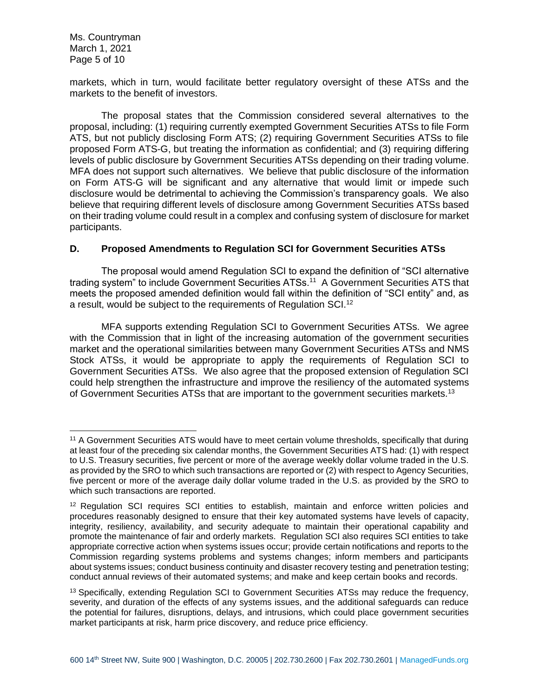Ms. Countryman March 1, 2021 Page 5 of 10

markets, which in turn, would facilitate better regulatory oversight of these ATSs and the markets to the benefit of investors.

The proposal states that the Commission considered several alternatives to the proposal, including: (1) requiring currently exempted Government Securities ATSs to file Form ATS, but not publicly disclosing Form ATS; (2) requiring Government Securities ATSs to file proposed Form ATS-G, but treating the information as confidential; and (3) requiring differing levels of public disclosure by Government Securities ATSs depending on their trading volume. MFA does not support such alternatives. We believe that public disclosure of the information on Form ATS-G will be significant and any alternative that would limit or impede such disclosure would be detrimental to achieving the Commission's transparency goals. We also believe that requiring different levels of disclosure among Government Securities ATSs based on their trading volume could result in a complex and confusing system of disclosure for market participants.

# **D. Proposed Amendments to Regulation SCI for Government Securities ATSs**

The proposal would amend Regulation SCI to expand the definition of "SCI alternative trading system" to include Government Securities ATSs.<sup>11</sup> A Government Securities ATS that meets the proposed amended definition would fall within the definition of "SCI entity" and, as a result, would be subject to the requirements of Regulation SCI.<sup>12</sup>

MFA supports extending Regulation SCI to Government Securities ATSs. We agree with the Commission that in light of the increasing automation of the government securities market and the operational similarities between many Government Securities ATSs and NMS Stock ATSs, it would be appropriate to apply the requirements of Regulation SCI to Government Securities ATSs. We also agree that the proposed extension of Regulation SCI could help strengthen the infrastructure and improve the resiliency of the automated systems of Government Securities ATSs that are important to the government securities markets.<sup>13</sup>

<sup>&</sup>lt;sup>11</sup> A Government Securities ATS would have to meet certain volume thresholds, specifically that during at least four of the preceding six calendar months, the Government Securities ATS had: (1) with respect to U.S. Treasury securities, five percent or more of the average weekly dollar volume traded in the U.S. as provided by the SRO to which such transactions are reported or (2) with respect to Agency Securities, five percent or more of the average daily dollar volume traded in the U.S. as provided by the SRO to which such transactions are reported.

<sup>&</sup>lt;sup>12</sup> Regulation SCI requires SCI entities to establish, maintain and enforce written policies and procedures reasonably designed to ensure that their key automated systems have levels of capacity, integrity, resiliency, availability, and security adequate to maintain their operational capability and promote the maintenance of fair and orderly markets. Regulation SCI also requires SCI entities to take appropriate corrective action when systems issues occur; provide certain notifications and reports to the Commission regarding systems problems and systems changes; inform members and participants about systems issues; conduct business continuity and disaster recovery testing and penetration testing; conduct annual reviews of their automated systems; and make and keep certain books and records.

<sup>&</sup>lt;sup>13</sup> Specifically, extending Regulation SCI to Government Securities ATSs may reduce the frequency, severity, and duration of the effects of any systems issues, and the additional safeguards can reduce the potential for failures, disruptions, delays, and intrusions, which could place government securities market participants at risk, harm price discovery, and reduce price efficiency.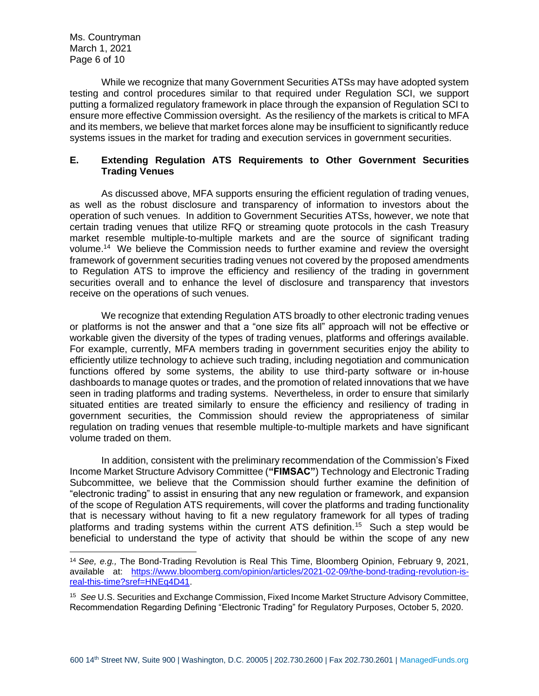Ms. Countryman March 1, 2021 Page 6 of 10

While we recognize that many Government Securities ATSs may have adopted system testing and control procedures similar to that required under Regulation SCI, we support putting a formalized regulatory framework in place through the expansion of Regulation SCI to ensure more effective Commission oversight. As the resiliency of the markets is critical to MFA and its members, we believe that market forces alone may be insufficient to significantly reduce systems issues in the market for trading and execution services in government securities.

# **E. Extending Regulation ATS Requirements to Other Government Securities Trading Venues**

As discussed above, MFA supports ensuring the efficient regulation of trading venues, as well as the robust disclosure and transparency of information to investors about the operation of such venues. In addition to Government Securities ATSs, however, we note that certain trading venues that utilize RFQ or streaming quote protocols in the cash Treasury market resemble multiple-to-multiple markets and are the source of significant trading volume.<sup>14</sup> We believe the Commission needs to further examine and review the oversight framework of government securities trading venues not covered by the proposed amendments to Regulation ATS to improve the efficiency and resiliency of the trading in government securities overall and to enhance the level of disclosure and transparency that investors receive on the operations of such venues.

We recognize that extending Regulation ATS broadly to other electronic trading venues or platforms is not the answer and that a "one size fits all" approach will not be effective or workable given the diversity of the types of trading venues, platforms and offerings available. For example, currently, MFA members trading in government securities enjoy the ability to efficiently utilize technology to achieve such trading, including negotiation and communication functions offered by some systems, the ability to use third-party software or in-house dashboards to manage quotes or trades, and the promotion of related innovations that we have seen in trading platforms and trading systems. Nevertheless, in order to ensure that similarly situated entities are treated similarly to ensure the efficiency and resiliency of trading in government securities, the Commission should review the appropriateness of similar regulation on trading venues that resemble multiple-to-multiple markets and have significant volume traded on them.

In addition, consistent with the preliminary recommendation of the Commission's Fixed Income Market Structure Advisory Committee (**"FIMSAC"**) Technology and Electronic Trading Subcommittee, we believe that the Commission should further examine the definition of "electronic trading" to assist in ensuring that any new regulation or framework, and expansion of the scope of Regulation ATS requirements, will cover the platforms and trading functionality that is necessary without having to fit a new regulatory framework for all types of trading platforms and trading systems within the current ATS definition.<sup>15</sup> Such a step would be beneficial to understand the type of activity that should be within the scope of any new

<span id="page-5-0"></span><sup>14</sup> *See, e.g.,* The Bond-Trading Revolution is Real This Time, Bloomberg Opinion, February 9, 2021, available at: [https://www.bloomberg.com/opinion/articles/2021-02-09/the-bond-trading-revolution-is](https://www.bloomberg.com/opinion/articles/2021-02-09/the-bond-trading-revolution-is-real-this-time?sref=HNEq4D41)[real-this-time?sref=HNEq4D41.](https://www.bloomberg.com/opinion/articles/2021-02-09/the-bond-trading-revolution-is-real-this-time?sref=HNEq4D41)

<sup>15</sup> *See* U.S. Securities and Exchange Commission, Fixed Income Market Structure Advisory Committee, Recommendation Regarding Defining "Electronic Trading" for Regulatory Purposes, October 5, 2020.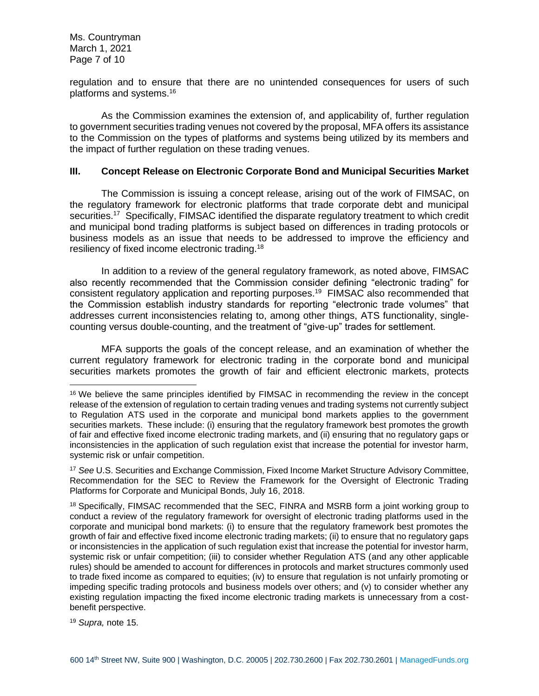Ms. Countryman March 1, 2021 Page 7 of 10

regulation and to ensure that there are no unintended consequences for users of such platforms and systems. 16

As the Commission examines the extension of, and applicability of, further regulation to government securities trading venues not covered by the proposal, MFA offers its assistance to the Commission on the types of platforms and systems being utilized by its members and the impact of further regulation on these trading venues.

#### **III. Concept Release on Electronic Corporate Bond and Municipal Securities Market**

The Commission is issuing a concept release, arising out of the work of FIMSAC, on the regulatory framework for electronic platforms that trade corporate debt and municipal securities.<sup>17</sup> Specifically, FIMSAC identified the disparate regulatory treatment to which credit and municipal bond trading platforms is subject based on differences in trading protocols or business models as an issue that needs to be addressed to improve the efficiency and resiliency of fixed income electronic trading.<sup>18</sup>

In addition to a review of the general regulatory framework, as noted above, FIMSAC also recently recommended that the Commission consider defining "electronic trading" for consistent regulatory application and reporting purposes.<sup>19</sup> FIMSAC also recommended that the Commission establish industry standards for reporting "electronic trade volumes" that addresses current inconsistencies relating to, among other things, ATS functionality, singlecounting versus double-counting, and the treatment of "give-up" trades for settlement.

MFA supports the goals of the concept release, and an examination of whether the current regulatory framework for electronic trading in the corporate bond and municipal securities markets promotes the growth of fair and efficient electronic markets, protects

<sup>19</sup> *Supra,* note [15.](#page-5-0)

<sup>&</sup>lt;sup>16</sup> We believe the same principles identified by FIMSAC in recommending the review in the concept release of the extension of regulation to certain trading venues and trading systems not currently subject to Regulation ATS used in the corporate and municipal bond markets applies to the government securities markets. These include: (i) ensuring that the regulatory framework best promotes the growth of fair and effective fixed income electronic trading markets, and (ii) ensuring that no regulatory gaps or inconsistencies in the application of such regulation exist that increase the potential for investor harm, systemic risk or unfair competition.

<sup>17</sup> *See* U.S. Securities and Exchange Commission, Fixed Income Market Structure Advisory Committee, Recommendation for the SEC to Review the Framework for the Oversight of Electronic Trading Platforms for Corporate and Municipal Bonds, July 16, 2018.

<sup>&</sup>lt;sup>18</sup> Specifically, FIMSAC recommended that the SEC, FINRA and MSRB form a joint working group to conduct a review of the regulatory framework for oversight of electronic trading platforms used in the corporate and municipal bond markets: (i) to ensure that the regulatory framework best promotes the growth of fair and effective fixed income electronic trading markets; (ii) to ensure that no regulatory gaps or inconsistencies in the application of such regulation exist that increase the potential for investor harm, systemic risk or unfair competition; (iii) to consider whether Regulation ATS (and any other applicable rules) should be amended to account for differences in protocols and market structures commonly used to trade fixed income as compared to equities; (iv) to ensure that regulation is not unfairly promoting or impeding specific trading protocols and business models over others; and (v) to consider whether any existing regulation impacting the fixed income electronic trading markets is unnecessary from a costbenefit perspective.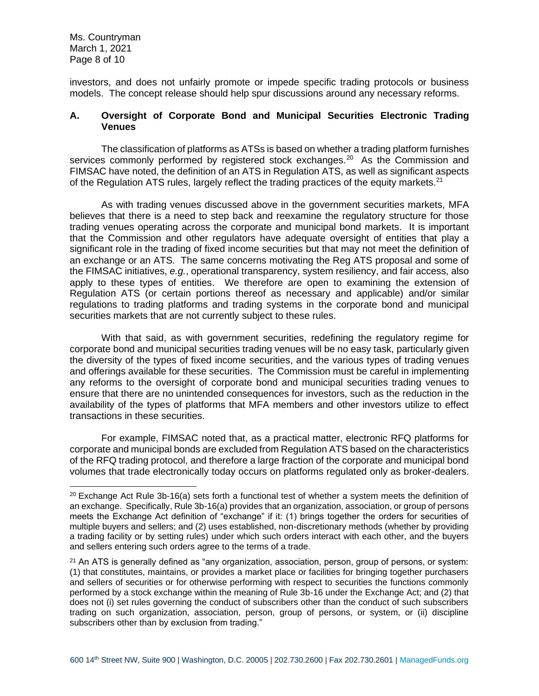Ms. Countryman March 1, 2021 Page 8 of 10

investors, and does not unfairly promote or impede specific trading protocols or business models. The concept release should help spur discussions around any necessary reforms.

#### **A. Oversight of Corporate Bond and Municipal Securities Electronic Trading Venues**

The classification of platforms as ATSs is based on whether a trading platform furnishes services commonly performed by registered stock exchanges.<sup>20</sup> As the Commission and FIMSAC have noted, the definition of an ATS in Regulation ATS, as well as significant aspects of the Regulation ATS rules, largely reflect the trading practices of the equity markets. $21$ 

As with trading venues discussed above in the government securities markets, MFA believes that there is a need to step back and reexamine the regulatory structure for those trading venues operating across the corporate and municipal bond markets. It is important that the Commission and other regulators have adequate oversight of entities that play a significant role in the trading of fixed income securities but that may not meet the definition of an exchange or an ATS. The same concerns motivating the Reg ATS proposal and some of the FIMSAC initiatives, *e.g.*, operational transparency, system resiliency, and fair access, also apply to these types of entities. We therefore are open to examining the extension of Regulation ATS (or certain portions thereof as necessary and applicable) and/or similar regulations to trading platforms and trading systems in the corporate bond and municipal securities markets that are not currently subject to these rules.

With that said, as with government securities, redefining the regulatory regime for corporate bond and municipal securities trading venues will be no easy task, particularly given the diversity of the types of fixed income securities, and the various types of trading venues and offerings available for these securities. The Commission must be careful in implementing any reforms to the oversight of corporate bond and municipal securities trading venues to ensure that there are no unintended consequences for investors, such as the reduction in the availability of the types of platforms that MFA members and other investors utilize to effect transactions in these securities.

For example, FIMSAC noted that, as a practical matter, electronic RFQ platforms for corporate and municipal bonds are excluded from Regulation ATS based on the characteristics of the RFQ trading protocol, and therefore a large fraction of the corporate and municipal bond volumes that trade electronically today occurs on platforms regulated only as broker-dealers.

<sup>&</sup>lt;sup>20</sup> Exchange Act Rule 3b-16(a) sets forth a functional test of whether a system meets the definition of an exchange. Specifically, Rule 3b-16(a) provides that an organization, association, or group of persons meets the Exchange Act definition of "exchange" if it: (1) brings together the orders for securities of multiple buyers and sellers; and (2) uses established, non-discretionary methods (whether by providing a trading facility or by setting rules) under which such orders interact with each other, and the buyers and sellers entering such orders agree to the terms of a trade.

 $21$  An ATS is generally defined as "any organization, association, person, group of persons, or system: (1) that constitutes, maintains, or provides a market place or facilities for bringing together purchasers and sellers of securities or for otherwise performing with respect to securities the functions commonly performed by a stock exchange within the meaning of Rule 3b-16 under the Exchange Act; and (2) that does not (i) set rules governing the conduct of subscribers other than the conduct of such subscribers trading on such organization, association, person, group of persons, or system, or (ii) discipline subscribers other than by exclusion from trading."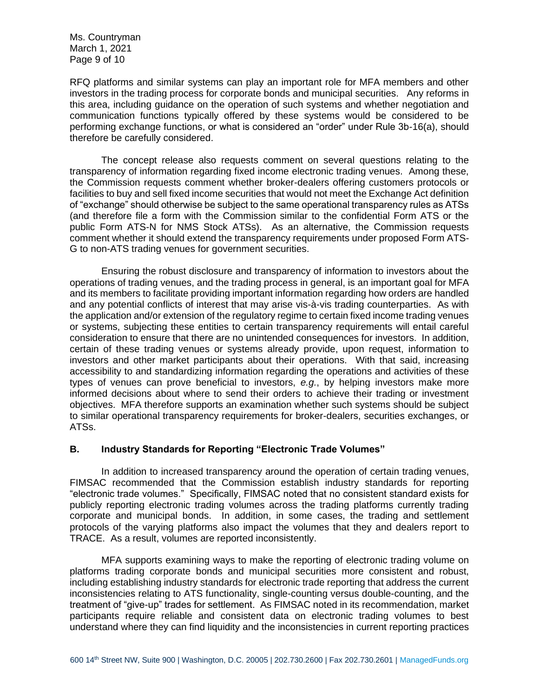Ms. Countryman March 1, 2021 Page 9 of 10

RFQ platforms and similar systems can play an important role for MFA members and other investors in the trading process for corporate bonds and municipal securities. Any reforms in this area, including guidance on the operation of such systems and whether negotiation and communication functions typically offered by these systems would be considered to be performing exchange functions, or what is considered an "order" under Rule 3b-16(a), should therefore be carefully considered.

The concept release also requests comment on several questions relating to the transparency of information regarding fixed income electronic trading venues. Among these, the Commission requests comment whether broker-dealers offering customers protocols or facilities to buy and sell fixed income securities that would not meet the Exchange Act definition of "exchange" should otherwise be subject to the same operational transparency rules as ATSs (and therefore file a form with the Commission similar to the confidential Form ATS or the public Form ATS-N for NMS Stock ATSs). As an alternative, the Commission requests comment whether it should extend the transparency requirements under proposed Form ATS-G to non-ATS trading venues for government securities.

Ensuring the robust disclosure and transparency of information to investors about the operations of trading venues, and the trading process in general, is an important goal for MFA and its members to facilitate providing important information regarding how orders are handled and any potential conflicts of interest that may arise vis-à-vis trading counterparties. As with the application and/or extension of the regulatory regime to certain fixed income trading venues or systems, subjecting these entities to certain transparency requirements will entail careful consideration to ensure that there are no unintended consequences for investors. In addition, certain of these trading venues or systems already provide, upon request, information to investors and other market participants about their operations. With that said, increasing accessibility to and standardizing information regarding the operations and activities of these types of venues can prove beneficial to investors, *e.g.*, by helping investors make more informed decisions about where to send their orders to achieve their trading or investment objectives. MFA therefore supports an examination whether such systems should be subject to similar operational transparency requirements for broker-dealers, securities exchanges, or ATSs.

## **B. Industry Standards for Reporting "Electronic Trade Volumes"**

In addition to increased transparency around the operation of certain trading venues, FIMSAC recommended that the Commission establish industry standards for reporting "electronic trade volumes." Specifically, FIMSAC noted that no consistent standard exists for publicly reporting electronic trading volumes across the trading platforms currently trading corporate and municipal bonds. In addition, in some cases, the trading and settlement protocols of the varying platforms also impact the volumes that they and dealers report to TRACE. As a result, volumes are reported inconsistently.

MFA supports examining ways to make the reporting of electronic trading volume on platforms trading corporate bonds and municipal securities more consistent and robust, including establishing industry standards for electronic trade reporting that address the current inconsistencies relating to ATS functionality, single-counting versus double-counting, and the treatment of "give-up" trades for settlement. As FIMSAC noted in its recommendation, market participants require reliable and consistent data on electronic trading volumes to best understand where they can find liquidity and the inconsistencies in current reporting practices